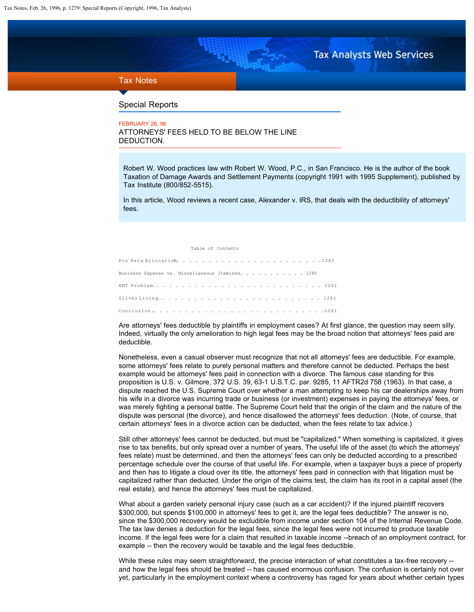**Tax Analysts Web Services** 

# <span id="page-0-0"></span>Tax Notes

### Special Reports

FEBRUARY 26, 96

ATTORNEYS' FEES HELD TO BE BELOW THE LINE DEDUCTION.

Robert W. Wood practices law with Robert W. Wood, P.C., in San Francisco. He is the author of the book Taxation of Damage Awards and Settlement Payments (copyright 1991 with 1995 Supplement), published by Tax Institute (800/852-5515).

In this article, Wood reviews a recent case, Alexander v. IRS, that deals with the deductibility of attorneys' fees.

Table of Contents

Pro Rata Allocation?. . . . . . . . . . . . . . . . . . . . . . .1280 Business Expense vs. Miscellaneous Itemized. . . AMT Problem. . . . . . . . . . . . . . . . . . . . . . . . . . . 1281 Silver Lining. . . . . . . . . . . . . . . . . . . . . . . . . . 1281 Conclusion. . . . . . . . . . . . . . . . . . . . . . . . . . . .1281

Are attorneys' fees deductible by plaintiffs in employment cases? At first glance, the question may seem silly. Indeed, virtually the only amelioration to high legal fees may be the broad notion that attorneys' fees paid are deductible.

Nonetheless, even a casual observer must recognize that not all attorneys' fees are deductible. For example, some attorneys' fees relate to purely personal matters and therefore cannot be deducted. Perhaps the best example would be attorneys' fees paid in connection with a divorce. The famous case standing for this proposition is U.S. v. Gilmore, 372 U.S. 39, 63-1 U.S.T.C. par. 9285, 11 AFTR2d 758 (1963). In that case, a dispute reached the U.S. Supreme Court over whether a man attempting to keep his car dealerships away from his wife in a divorce was incurring trade or business (or investment) expenses in paying the attorneys' fees, or was merely fighting a personal battle. The Supreme Court held that the origin of the claim and the nature of the dispute was personal (the divorce), and hence disallowed the attorneys' fees deduction. (Note, of course, that certain attorneys' fees in a divorce action can be deducted, when the fees relate to tax advice.)

Still other attorneys' fees cannot be deducted, but must be "capitalized." When something is capitalized, it gives rise to tax benefits, but only spread over a number of years. The useful life of the asset (to which the attorneys' fees relate) must be determined, and then the attorneys' fees can only be deducted according to a prescribed percentage schedule over the course of that useful life. For example, when a taxpayer buys a piece of property and then has to litigate a cloud over its title, the attorneys' fees paid in connection with that litigation must be capitalized rather than deducted. Under the origin of the claims test, the claim has its root in a capital asset (the real estate), and hence the attorneys' fees must be capitalized.

What about a garden variety personal injury case (such as a car accident)? If the injured plaintiff recovers \$300,000, but spends \$100,000 in attorneys' fees to get it, are the legal fees deductible? The answer is no, since the \$300,000 recovery would be excludible from income under section 104 of the Internal Revenue Code. The tax law denies a deduction for the legal fees, since the legal fees were not incurred to produce taxable income. If the legal fees were for a claim that resulted in taxable income --breach of an employment contract, for example -- then the recovery would be taxable and the legal fees deductible.

While these rules may seem straightforward, the precise interaction of what constitutes a tax-free recovery -and how the legal fees should be treated -- has caused enormous confusion. The confusion is certainly not over yet, particularly in the employment context where a controversy has raged for years about whether certain types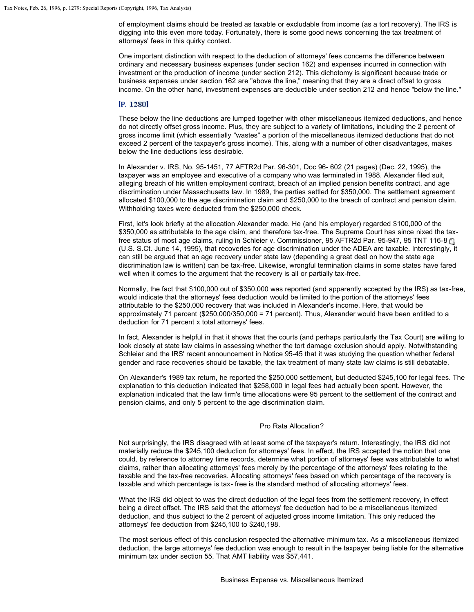of employment claims should be treated as taxable or excludable from income (as a tort recovery). The IRS is digging into this even more today. Fortunately, there is some good news concerning the tax treatment of attorneys' fees in this quirky context.

One important distinction with respect to the deduction of attorneys' fees concerns the difference between ordinary and necessary business expenses (under section 162) and expenses incurred in connection with investment or the production of income (under section 212). This dichotomy is significant because trade or business expenses under section 162 are "above the line," meaning that they are a direct offset to gross income. On the other hand, investment expenses are deductible under section 212 and hence "below the line."

# [P. 1280]

These below the line deductions are lumped together with other miscellaneous itemized deductions, and hence do not directly offset gross income. Plus, they are subject to a variety of limitations, including the 2 percent of gross income limit (which essentially "wastes" a portion of the miscellaneous itemized deductions that do not exceed 2 percent of the taxpayer's gross income). This, along with a number of other disadvantages, makes below the line deductions less desirable.

In Alexander v. IRS, No. 95-1451, 77 AFTR2d Par. 96-301, Doc 96- 602 (21 pages) (Dec. 22, 1995), the taxpayer was an employee and executive of a company who was terminated in 1988. Alexander filed suit, alleging breach of his written employment contract, breach of an implied pension benefits contract, and age discrimination under Massachusetts law. In 1989, the parties settled for \$350,000. The settlement agreement allocated \$100,000 to the age discrimination claim and \$250,000 to the breach of contract and pension claim. Withholding taxes were deducted from the \$250,000 check.

First, let's look briefly at the allocation Alexander made. He (and his employer) regarded \$100,000 of the \$350,000 as attributable to the age claim, and therefore tax-free. The Supreme Court has since nixed the taxfree status of most age claims, ruling in Schleier v. Commissioner, 95 AFTR2d Par. 95-947, 95 TNT 116-8 @ (U.S. S.Ct. June 14, 1995), that recoveries for age discrimination under the ADEA are taxable. Interestingly, it can still be argued that an age recovery under state law (depending a great deal on how the state age discrimination law is written) can be tax-free. Likewise, wrongful termination claims in some states have fared well when it comes to the argument that the recovery is all or partially tax-free.

Normally, the fact that \$100,000 out of \$350,000 was reported (and apparently accepted by the IRS) as tax-free, would indicate that the attorneys' fees deduction would be limited to the portion of the attorneys' fees attributable to the \$250,000 recovery that was included in Alexander's income. Here, that would be approximately 71 percent (\$250,000/350,000 = 71 percent). Thus, Alexander would have been entitled to a deduction for 71 percent x total attorneys' fees.

In fact, Alexander is helpful in that it shows that the courts (and perhaps particularly the Tax Court) are willing to look closely at state law claims in assessing whether the tort damage exclusion should apply. Notwithstanding Schleier and the IRS' recent announcement in Notice 95-45 that it was studying the question whether federal gender and race recoveries should be taxable, the tax treatment of many state law claims is still debatable.

On Alexander's 1989 tax return, he reported the \$250,000 settlement, but deducted \$245,100 for legal fees. The explanation to this deduction indicated that \$258,000 in legal fees had actually been spent. However, the explanation indicated that the law firm's time allocations were 95 percent to the settlement of the contract and pension claims, and only 5 percent to the age discrimination claim.

#### Pro Rata Allocation?

Not surprisingly, the IRS disagreed with at least some of the taxpayer's return. Interestingly, the IRS did not materially reduce the \$245,100 deduction for attorneys' fees. In effect, the IRS accepted the notion that one could, by reference to attorney time records, determine what portion of attorneys' fees was attributable to what claims, rather than allocating attorneys' fees merely by the percentage of the attorneys' fees relating to the taxable and the tax-free recoveries. Allocating attorneys' fees based on which percentage of the recovery is taxable and which percentage is tax- free is the standard method of allocating attorneys' fees.

What the IRS did object to was the direct deduction of the legal fees from the settlement recovery, in effect being a direct offset. The IRS said that the attorneys' fee deduction had to be a miscellaneous itemized deduction, and thus subject to the 2 percent of adjusted gross income limitation. This only reduced the attorneys' fee deduction from \$245,100 to \$240,198.

The most serious effect of this conclusion respected the alternative minimum tax. As a miscellaneous itemized deduction, the large attorneys' fee deduction was enough to result in the taxpayer being liable for the alternative minimum tax under section 55. That AMT liability was \$57,441.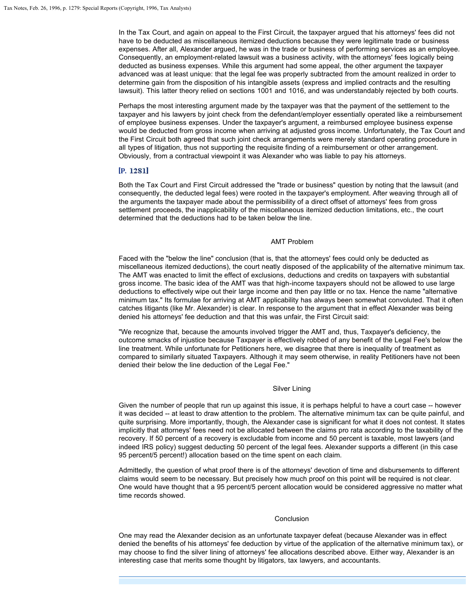In the Tax Court, and again on appeal to the First Circuit, the taxpayer argued that his attorneys' fees did not have to be deducted as miscellaneous itemized deductions because they were legitimate trade or business expenses. After all, Alexander argued, he was in the trade or business of performing services as an employee. Consequently, an employment-related lawsuit was a business activity, with the attorneys' fees logically being deducted as business expenses. While this argument had some appeal, the other argument the taxpayer advanced was at least unique: that the legal fee was properly subtracted from the amount realized in order to determine gain from the disposition of his intangible assets (express and implied contracts and the resulting lawsuit). This latter theory relied on sections 1001 and 1016, and was understandably rejected by both courts.

Perhaps the most interesting argument made by the taxpayer was that the payment of the settlement to the taxpayer and his lawyers by joint check from the defendant/employer essentially operated like a reimbursement of employee business expenses. Under the taxpayer's argument, a reimbursed employee business expense would be deducted from gross income when arriving at adjusted gross income. Unfortunately, the Tax Court and the First Circuit both agreed that such joint check arrangements were merely standard operating procedure in all types of litigation, thus not supporting the requisite finding of a reimbursement or other arrangement. Obviously, from a contractual viewpoint it was Alexander who was liable to pay his attorneys.

# $[P. 1281]$

Both the Tax Court and First Circuit addressed the "trade or business" question by noting that the lawsuit (and consequently, the deducted legal fees) were rooted in the taxpayer's employment. After weaving through all of the arguments the taxpayer made about the permissibility of a direct offset of attorneys' fees from gross settlement proceeds, the inapplicability of the miscellaneous itemized deduction limitations, etc., the court determined that the deductions had to be taken below the line.

# AMT Problem

Faced with the "below the line" conclusion (that is, that the attorneys' fees could only be deducted as miscellaneous itemized deductions), the court neatly disposed of the applicability of the alternative minimum tax. The AMT was enacted to limit the effect of exclusions, deductions and credits on taxpayers with substantial gross income. The basic idea of the AMT was that high-income taxpayers should not be allowed to use large deductions to effectively wipe out their large income and then pay little or no tax. Hence the name "alternative minimum tax." Its formulae for arriving at AMT applicability has always been somewhat convoluted. That it often catches litigants (like Mr. Alexander) is clear. In response to the argument that in effect Alexander was being denied his attorneys' fee deduction and that this was unfair, the First Circuit said:

"We recognize that, because the amounts involved trigger the AMT and, thus, Taxpayer's deficiency, the outcome smacks of injustice because Taxpayer is effectively robbed of any benefit of the Legal Fee's below the line treatment. While unfortunate for Petitioners here, we disagree that there is inequality of treatment as compared to similarly situated Taxpayers. Although it may seem otherwise, in reality Petitioners have not been denied their below the line deduction of the Legal Fee."

#### Silver Lining

Given the number of people that run up against this issue, it is perhaps helpful to have a court case -- however it was decided -- at least to draw attention to the problem. The alternative minimum tax can be quite painful, and quite surprising. More importantly, though, the Alexander case is significant for what it does not contest. It states implicitly that attorneys' fees need not be allocated between the claims pro rata according to the taxability of the recovery. If 50 percent of a recovery is excludable from income and 50 percent is taxable, most lawyers (and indeed IRS policy) suggest deducting 50 percent of the legal fees. Alexander supports a different (in this case 95 percent/5 percent!) allocation based on the time spent on each claim.

Admittedly, the question of what proof there is of the attorneys' devotion of time and disbursements to different claims would seem to be necessary. But precisely how much proof on this point will be required is not clear. One would have thought that a 95 percent/5 percent allocation would be considered aggressive no matter what time records showed.

#### Conclusion

One may read the Alexander decision as an unfortunate taxpayer defeat (because Alexander was in effect denied the benefits of his attorneys' fee deduction by virtue of the application of the alternative minimum tax), or may choose to find the silver lining of attorneys' fee allocations described above. Either way, Alexander is an interesting case that merits some thought by litigators, tax lawyers, and accountants.